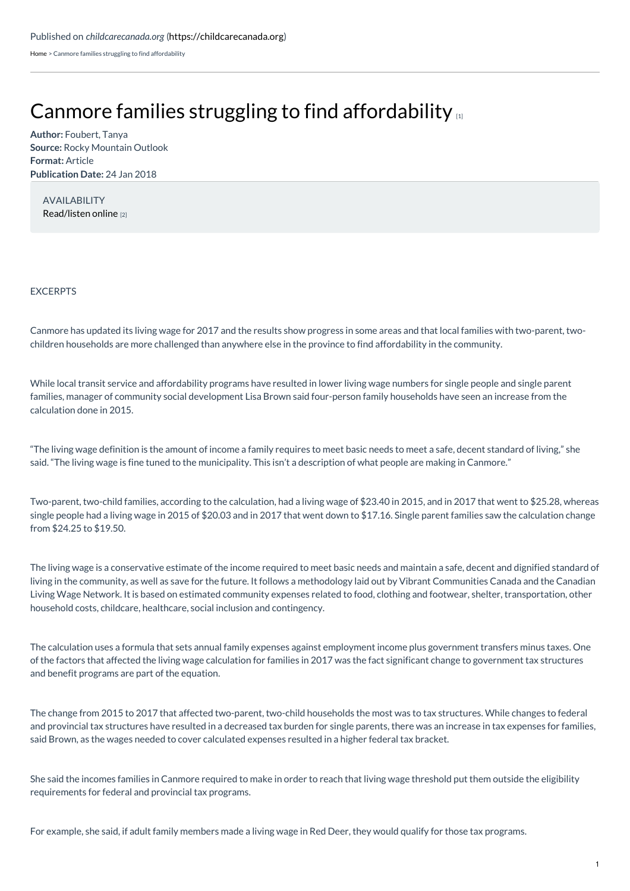[Home](https://childcarecanada.org/) > Canmore families struggling to find affordability

## Canmore families struggling to find [affordability](https://childcarecanada.org/documents/child-care-news/18/01/canmore-families-struggling-find-affordability)

**Author:** Foubert, Tanya **Source:** Rocky Mountain Outlook **Format:** Article **Publication Date:** 24 Jan 2018

AVAILABILITY [Read/listen](https://www.rmotoday.com/local-news/canmore-families-struggling-to-find-affordability-1571886) online [2]

## EXCERPTS

Canmore has updated its living wage for 2017 and the results show progress in some areas and that local families with two-parent, twochildren households are more challenged than anywhere else in the province to find affordability in the community.

While local transit service and affordability programs have resulted in lower living wage numbers for single people and single parent families, manager of community social development Lisa Brown said four-person family households have seen an increase from the calculation done in 2015.

"The living wage definition is the amount of income a family requires to meet basic needs to meet a safe, decent standard of living," she said. "The living wage is fine tuned to the municipality. This isn't a description of what people are making in Canmore."

Two-parent, two-child families, according to the calculation, had a living wage of \$23.40 in 2015, and in 2017 that went to \$25.28, whereas single people had a living wage in 2015 of \$20.03 and in 2017 that went down to \$17.16. Single parent families saw the calculation change from \$24.25 to \$19.50.

The living wage is a conservative estimate of the income required to meet basic needs and maintain a safe, decent and dignified standard of living in the community, as well as save for the future. It follows a methodology laid out by Vibrant Communities Canada and the Canadian Living Wage Network. It is based on estimated community expenses related to food, clothing and footwear, shelter, transportation, other household costs, childcare, healthcare, social inclusion and contingency.

The calculation uses a formula that sets annual family expenses against employment income plus government transfers minus taxes. One of the factors that affected the living wage calculation for families in 2017 was the fact significant change to government tax structures and benefit programs are part of the equation.

The change from 2015 to 2017 that affected two-parent, two-child households the most was to tax structures. While changes to federal and provincial tax structures have resulted in a decreased tax burden for single parents, there was an increase in tax expenses for families, said Brown, as the wages needed to cover calculated expenses resulted in a higher federal tax bracket.

She said the incomes families in Canmore required to make in order to reach that living wage threshold put them outside the eligibility requirements for federal and provincial tax programs.

For example, she said, if adult family members made a living wage in Red Deer, they would qualify for those tax programs.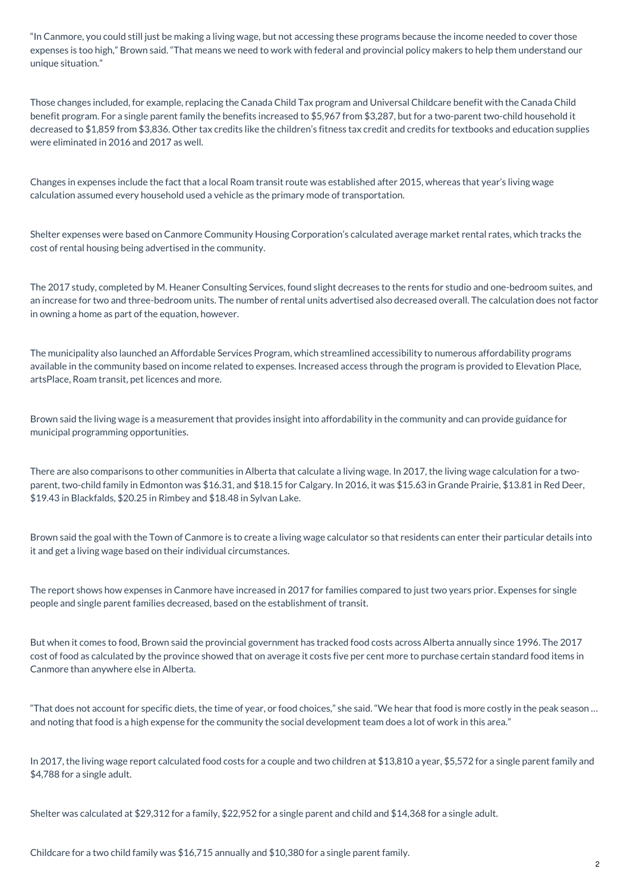"In Canmore, you could still just be making a living wage, but not accessing these programs because the income needed to cover those expenses is too high," Brown said. "That means we need to work with federal and provincial policy makers to help them understand our unique situation."

Those changes included, for example, replacing the Canada Child Tax program and Universal Childcare benefit with the Canada Child benefit program. For a single parent family the benefits increased to \$5,967 from \$3,287, but for a two-parent two-child household it decreased to \$1,859 from \$3,836. Other tax credits like the children's fitness tax credit and credits for textbooks and education supplies were eliminated in 2016 and 2017 as well.

Changes in expenses include the fact that a local Roam transit route was established after 2015, whereas that year's living wage calculation assumed every household used a vehicle as the primary mode of transportation.

Shelter expenses were based on Canmore Community Housing Corporation's calculated average market rental rates, which tracks the cost of rental housing being advertised in the community.

The 2017 study, completed by M. Heaner Consulting Services, found slight decreases to the rents for studio and one-bedroom suites, and an increase for two and three-bedroom units. The number of rental units advertised also decreased overall. The calculation does not factor in owning a home as part of the equation, however.

The municipality also launched an Affordable Services Program, which streamlined accessibility to numerous affordability programs available in the community based on income related to expenses. Increased access through the program is provided to Elevation Place, artsPlace, Roam transit, pet licences and more.

Brown said the living wage is a measurement that provides insight into affordability in the community and can provide guidance for municipal programming opportunities.

There are also comparisons to other communities in Alberta that calculate a living wage. In 2017, the living wage calculation for a twoparent, two-child family in Edmonton was \$16.31, and \$18.15 for Calgary. In 2016, it was \$15.63 in Grande Prairie, \$13.81 in Red Deer, \$19.43 in Blackfalds, \$20.25 in Rimbey and \$18.48 in Sylvan Lake.

Brown said the goal with the Town of Canmore is to create a living wage calculator so that residents can enter their particular details into it and get a living wage based on their individual circumstances.

The report shows how expenses in Canmore have increased in 2017 for families compared to just two years prior. Expenses for single people and single parent families decreased, based on the establishment of transit.

But when it comes to food, Brown said the provincial government has tracked food costs across Alberta annually since 1996. The 2017 cost of food as calculated by the province showed that on average it costs five per cent more to purchase certain standard food items in Canmore than anywhere else in Alberta.

"That does not account for specific diets, the time of year, or food choices," she said. "We hear that food is more costly in the peak season … and noting that food is a high expense for the community the social development team does a lot of work in this area."

In 2017, the living wage report calculated food costs for a couple and two children at \$13,810 a year, \$5,572 for a single parent family and \$4,788 for a single adult.

Shelter was calculated at \$29,312 for a family, \$22,952 for a single parent and child and \$14,368 for a single adult.

Childcare for a two child family was \$16,715 annually and \$10,380 for a single parent family.